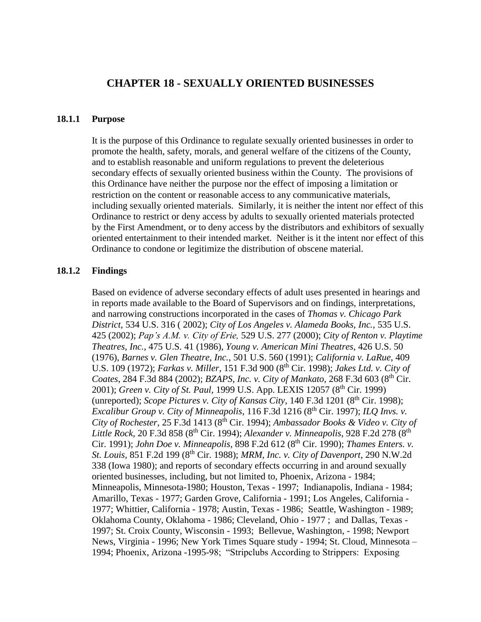# **CHAPTER 18 - SEXUALLY ORIENTED BUSINESSES**

#### **18.1.1 Purpose**

It is the purpose of this Ordinance to regulate sexually oriented businesses in order to promote the health, safety, morals, and general welfare of the citizens of the County, and to establish reasonable and uniform regulations to prevent the deleterious secondary effects of sexually oriented business within the County. The provisions of this Ordinance have neither the purpose nor the effect of imposing a limitation or restriction on the content or reasonable access to any communicative materials, including sexually oriented materials. Similarly, it is neither the intent nor effect of this Ordinance to restrict or deny access by adults to sexually oriented materials protected by the First Amendment, or to deny access by the distributors and exhibitors of sexually oriented entertainment to their intended market. Neither is it the intent nor effect of this Ordinance to condone or legitimize the distribution of obscene material.

#### **18.1.2 Findings**

Based on evidence of adverse secondary effects of adult uses presented in hearings and in reports made available to the Board of Supervisors and on findings, interpretations, and narrowing constructions incorporated in the cases of *Thomas v. Chicago Park District*, 534 U.S. 316 ( 2002); *City of Los Angeles v. Alameda Books, Inc.*, 535 U.S. 425 (2002); *Pap's A.M. v. City of Erie,* 529 U.S. 277 (2000); *City of Renton v. Playtime Theatres, Inc.*, 475 U.S. 41 (1986), *Young v. American Mini Theatres*, 426 U.S. 50 (1976), *Barnes v. Glen Theatre, Inc.*, 501 U.S. 560 (1991); *California v. LaRue*, 409 U.S. 109 (1972); *Farkas v. Miller*, 151 F.3d 900 (8th Cir. 1998); *Jakes Ltd. v. City of Coates*, 284 F.3d 884 (2002); *BZAPS, Inc. v. City of Mankato*, 268 F.3d 603 (8th Cir. 2001); *Green v. City of St. Paul*, 1999 U.S. App. LEXIS 12057 (8<sup>th</sup> Cir. 1999) (unreported); *Scope Pictures v. City of Kansas City*, 140 F.3d 1201 (8<sup>th</sup> Cir. 1998); *Excalibur Group v. City of Minneapolis*, 116 F.3d 1216 (8<sup>th</sup> Cir. 1997); *ILQ Invs. v. City of Rochester*, 25 F.3d 1413 (8th Cir. 1994); *Ambassador Books & Video v. City of Little Rock*, 20 F.3d 858 (8<sup>th</sup> Cir. 1994); *Alexander v. Minneapolis*, 928 F.2d 278 (8<sup>th</sup>) Cir. 1991); *John Doe v. Minneapolis*, 898 F.2d 612 (8<sup>th</sup> Cir. 1990); *Thames Enters. v. St. Louis*, 851 F.2d 199 (8th Cir. 1988); *MRM, Inc. v. City of Davenport*, 290 N.W.2d 338 (Iowa 1980); and reports of secondary effects occurring in and around sexually oriented businesses, including, but not limited to, Phoenix, Arizona - 1984; Minneapolis, Minnesota-1980; Houston, Texas - 1997; Indianapolis, Indiana - 1984; Amarillo, Texas - 1977; Garden Grove, California - 1991; Los Angeles, California - 1977; Whittier, California - 1978; Austin, Texas - 1986; Seattle, Washington - 1989; Oklahoma County, Oklahoma - 1986; Cleveland, Ohio - 1977 ; and Dallas, Texas - 1997; St. Croix County, Wisconsin - 1993; Bellevue, Washington, - 1998; Newport News, Virginia - 1996; New York Times Square study - 1994; St. Cloud, Minnesota – 1994; Phoenix, Arizona -1995-98; "Stripclubs According to Strippers: Exposing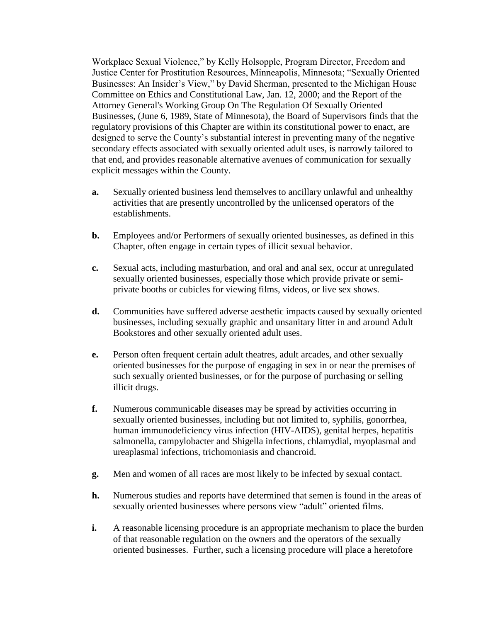Workplace Sexual Violence," by Kelly Holsopple, Program Director, Freedom and Justice Center for Prostitution Resources, Minneapolis, Minnesota; "Sexually Oriented Businesses: An Insider's View," by David Sherman, presented to the Michigan House Committee on Ethics and Constitutional Law, Jan. 12, 2000; and the Report of the Attorney General's Working Group On The Regulation Of Sexually Oriented Businesses, (June 6, 1989, State of Minnesota), the Board of Supervisors finds that the regulatory provisions of this Chapter are within its constitutional power to enact, are designed to serve the County's substantial interest in preventing many of the negative secondary effects associated with sexually oriented adult uses, is narrowly tailored to that end, and provides reasonable alternative avenues of communication for sexually explicit messages within the County.

- **a.** Sexually oriented business lend themselves to ancillary unlawful and unhealthy activities that are presently uncontrolled by the unlicensed operators of the establishments.
- **b.** Employees and/or Performers of sexually oriented businesses, as defined in this Chapter, often engage in certain types of illicit sexual behavior.
- **c.** Sexual acts, including masturbation, and oral and anal sex, occur at unregulated sexually oriented businesses, especially those which provide private or semiprivate booths or cubicles for viewing films, videos, or live sex shows.
- **d.** Communities have suffered adverse aesthetic impacts caused by sexually oriented businesses, including sexually graphic and unsanitary litter in and around Adult Bookstores and other sexually oriented adult uses.
- **e.** Person often frequent certain adult theatres, adult arcades, and other sexually oriented businesses for the purpose of engaging in sex in or near the premises of such sexually oriented businesses, or for the purpose of purchasing or selling illicit drugs.
- **f.** Numerous communicable diseases may be spread by activities occurring in sexually oriented businesses, including but not limited to, syphilis, gonorrhea, human immunodeficiency virus infection (HIV-AIDS), genital herpes, hepatitis salmonella, campylobacter and Shigella infections, chlamydial, myoplasmal and ureaplasmal infections, trichomoniasis and chancroid.
- **g.** Men and women of all races are most likely to be infected by sexual contact.
- **h.** Numerous studies and reports have determined that semen is found in the areas of sexually oriented businesses where persons view "adult" oriented films.
- **i.** A reasonable licensing procedure is an appropriate mechanism to place the burden of that reasonable regulation on the owners and the operators of the sexually oriented businesses. Further, such a licensing procedure will place a heretofore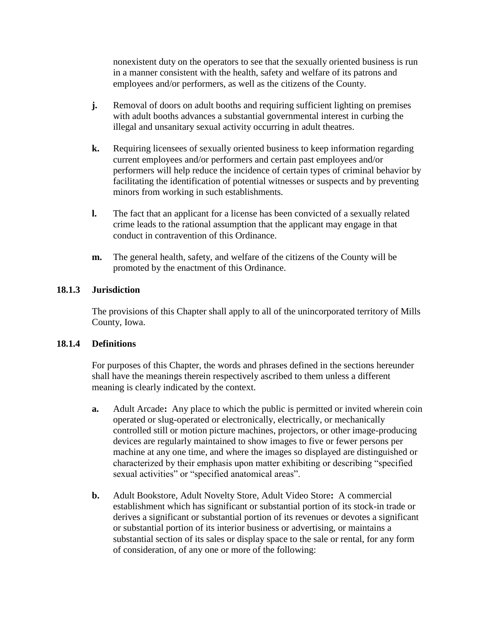nonexistent duty on the operators to see that the sexually oriented business is run in a manner consistent with the health, safety and welfare of its patrons and employees and/or performers, as well as the citizens of the County.

- **j.** Removal of doors on adult booths and requiring sufficient lighting on premises with adult booths advances a substantial governmental interest in curbing the illegal and unsanitary sexual activity occurring in adult theatres.
- **k.** Requiring licensees of sexually oriented business to keep information regarding current employees and/or performers and certain past employees and/or performers will help reduce the incidence of certain types of criminal behavior by facilitating the identification of potential witnesses or suspects and by preventing minors from working in such establishments.
- **l.** The fact that an applicant for a license has been convicted of a sexually related crime leads to the rational assumption that the applicant may engage in that conduct in contravention of this Ordinance.
- **m.** The general health, safety, and welfare of the citizens of the County will be promoted by the enactment of this Ordinance.

# **18.1.3 Jurisdiction**

The provisions of this Chapter shall apply to all of the unincorporated territory of Mills County, Iowa.

## **18.1.4 Definitions**

For purposes of this Chapter, the words and phrases defined in the sections hereunder shall have the meanings therein respectively ascribed to them unless a different meaning is clearly indicated by the context.

- **a.** Adult Arcade**:** Any place to which the public is permitted or invited wherein coin operated or slug-operated or electronically, electrically, or mechanically controlled still or motion picture machines, projectors, or other image-producing devices are regularly maintained to show images to five or fewer persons per machine at any one time, and where the images so displayed are distinguished or characterized by their emphasis upon matter exhibiting or describing "specified sexual activities" or "specified anatomical areas".
- **b.** Adult Bookstore, Adult Novelty Store, Adult Video Store**:** A commercial establishment which has significant or substantial portion of its stock-in trade or derives a significant or substantial portion of its revenues or devotes a significant or substantial portion of its interior business or advertising, or maintains a substantial section of its sales or display space to the sale or rental, for any form of consideration, of any one or more of the following: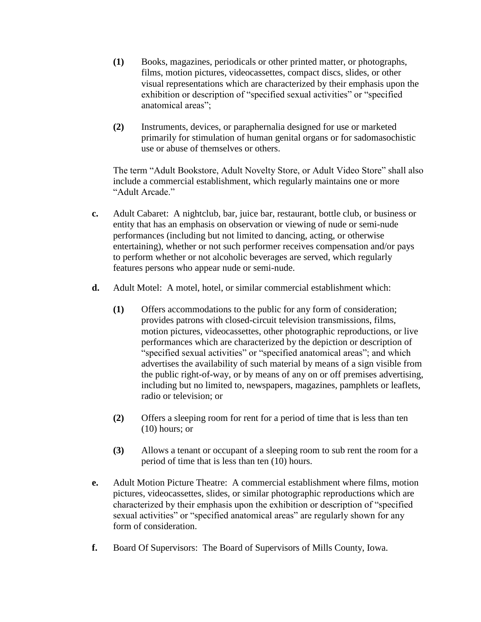- **(1)** Books, magazines, periodicals or other printed matter, or photographs, films, motion pictures, videocassettes, compact discs, slides, or other visual representations which are characterized by their emphasis upon the exhibition or description of "specified sexual activities" or "specified anatomical areas";
- **(2)** Instruments, devices, or paraphernalia designed for use or marketed primarily for stimulation of human genital organs or for sadomasochistic use or abuse of themselves or others.

The term "Adult Bookstore, Adult Novelty Store, or Adult Video Store" shall also include a commercial establishment, which regularly maintains one or more "Adult Arcade."

- **c.** Adult Cabaret: A nightclub, bar, juice bar, restaurant, bottle club, or business or entity that has an emphasis on observation or viewing of nude or semi-nude performances (including but not limited to dancing, acting, or otherwise entertaining), whether or not such performer receives compensation and/or pays to perform whether or not alcoholic beverages are served, which regularly features persons who appear nude or semi-nude.
- **d.** Adult Motel: A motel, hotel, or similar commercial establishment which:
	- **(1)** Offers accommodations to the public for any form of consideration; provides patrons with closed-circuit television transmissions, films, motion pictures, videocassettes, other photographic reproductions, or live performances which are characterized by the depiction or description of "specified sexual activities" or "specified anatomical areas"; and which advertises the availability of such material by means of a sign visible from the public right-of-way, or by means of any on or off premises advertising, including but no limited to, newspapers, magazines, pamphlets or leaflets, radio or television; or
	- **(2)** Offers a sleeping room for rent for a period of time that is less than ten (10) hours; or
	- **(3)** Allows a tenant or occupant of a sleeping room to sub rent the room for a period of time that is less than ten (10) hours.
- **e.** Adult Motion Picture Theatre: A commercial establishment where films, motion pictures, videocassettes, slides, or similar photographic reproductions which are characterized by their emphasis upon the exhibition or description of "specified sexual activities" or "specified anatomical areas" are regularly shown for any form of consideration.
- **f.** Board Of Supervisors: The Board of Supervisors of Mills County, Iowa.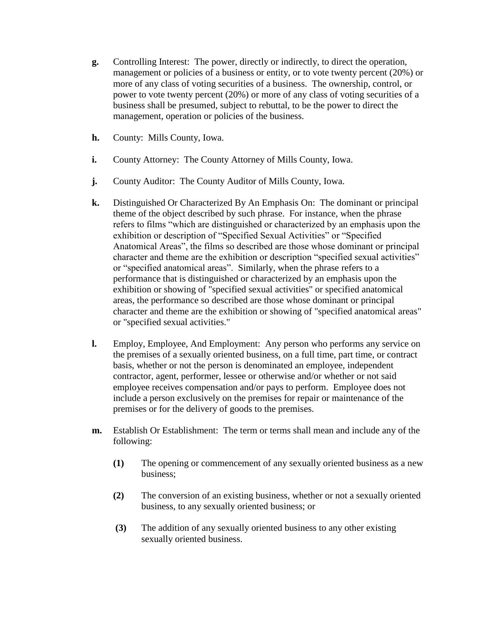- **g.** Controlling Interest: The power, directly or indirectly, to direct the operation, management or policies of a business or entity, or to vote twenty percent (20%) or more of any class of voting securities of a business. The ownership, control, or power to vote twenty percent (20%) or more of any class of voting securities of a business shall be presumed, subject to rebuttal, to be the power to direct the management, operation or policies of the business.
- **h.** County: Mills County, Iowa.
- **i.** County Attorney: The County Attorney of Mills County, Iowa.
- **j.** County Auditor: The County Auditor of Mills County, Iowa.
- **k.** Distinguished Or Characterized By An Emphasis On: The dominant or principal theme of the object described by such phrase. For instance, when the phrase refers to films "which are distinguished or characterized by an emphasis upon the exhibition or description of "Specified Sexual Activities" or "Specified Anatomical Areas", the films so described are those whose dominant or principal character and theme are the exhibition or description "specified sexual activities" or "specified anatomical areas". Similarly, when the phrase refers to a performance that is distinguished or characterized by an emphasis upon the exhibition or showing of "specified sexual activities" or specified anatomical areas, the performance so described are those whose dominant or principal character and theme are the exhibition or showing of "specified anatomical areas" or "specified sexual activities."
- **l.** Employ, Employee, And Employment: Any person who performs any service on the premises of a sexually oriented business, on a full time, part time, or contract basis, whether or not the person is denominated an employee, independent contractor, agent, performer, lessee or otherwise and/or whether or not said employee receives compensation and/or pays to perform. Employee does not include a person exclusively on the premises for repair or maintenance of the premises or for the delivery of goods to the premises.
- **m.** Establish Or Establishment: The term or terms shall mean and include any of the following:
	- **(1)** The opening or commencement of any sexually oriented business as a new business;
	- **(2)** The conversion of an existing business, whether or not a sexually oriented business, to any sexually oriented business; or
	- **(3)** The addition of any sexually oriented business to any other existing sexually oriented business.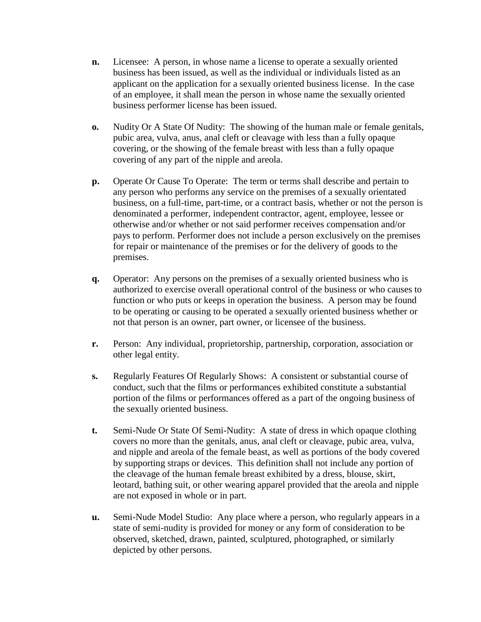- **n.** Licensee: A person, in whose name a license to operate a sexually oriented business has been issued, as well as the individual or individuals listed as an applicant on the application for a sexually oriented business license. In the case of an employee, it shall mean the person in whose name the sexually oriented business performer license has been issued.
- **o.** Nudity Or A State Of Nudity: The showing of the human male or female genitals, pubic area, vulva, anus, anal cleft or cleavage with less than a fully opaque covering, or the showing of the female breast with less than a fully opaque covering of any part of the nipple and areola.
- **p.** Operate Or Cause To Operate: The term or terms shall describe and pertain to any person who performs any service on the premises of a sexually orientated business, on a full-time, part-time, or a contract basis, whether or not the person is denominated a performer, independent contractor, agent, employee, lessee or otherwise and/or whether or not said performer receives compensation and/or pays to perform. Performer does not include a person exclusively on the premises for repair or maintenance of the premises or for the delivery of goods to the premises.
- **q.** Operator: Any persons on the premises of a sexually oriented business who is authorized to exercise overall operational control of the business or who causes to function or who puts or keeps in operation the business. A person may be found to be operating or causing to be operated a sexually oriented business whether or not that person is an owner, part owner, or licensee of the business.
- **r.** Person: Any individual, proprietorship, partnership, corporation, association or other legal entity.
- **s.** Regularly Features Of Regularly Shows: A consistent or substantial course of conduct, such that the films or performances exhibited constitute a substantial portion of the films or performances offered as a part of the ongoing business of the sexually oriented business.
- **t.** Semi-Nude Or State Of Semi-Nudity: A state of dress in which opaque clothing covers no more than the genitals, anus, anal cleft or cleavage, pubic area, vulva, and nipple and areola of the female beast, as well as portions of the body covered by supporting straps or devices. This definition shall not include any portion of the cleavage of the human female breast exhibited by a dress, blouse, skirt, leotard, bathing suit, or other wearing apparel provided that the areola and nipple are not exposed in whole or in part.
- **u.** Semi-Nude Model Studio: Any place where a person, who regularly appears in a state of semi-nudity is provided for money or any form of consideration to be observed, sketched, drawn, painted, sculptured, photographed, or similarly depicted by other persons.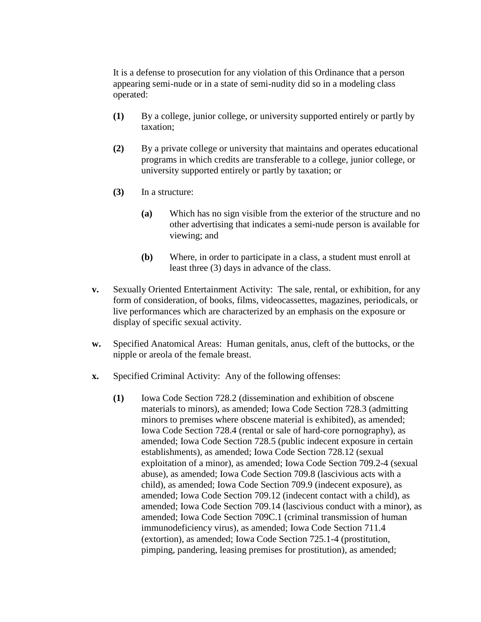It is a defense to prosecution for any violation of this Ordinance that a person appearing semi-nude or in a state of semi-nudity did so in a modeling class operated:

- **(1)** By a college, junior college, or university supported entirely or partly by taxation;
- **(2)** By a private college or university that maintains and operates educational programs in which credits are transferable to a college, junior college, or university supported entirely or partly by taxation; or
- **(3)** In a structure:
	- **(a)** Which has no sign visible from the exterior of the structure and no other advertising that indicates a semi-nude person is available for viewing; and
	- **(b)** Where, in order to participate in a class, a student must enroll at least three (3) days in advance of the class.
- **v.** Sexually Oriented Entertainment Activity: The sale, rental, or exhibition, for any form of consideration, of books, films, videocassettes, magazines, periodicals, or live performances which are characterized by an emphasis on the exposure or display of specific sexual activity.
- **w.** Specified Anatomical Areas: Human genitals, anus, cleft of the buttocks, or the nipple or areola of the female breast.
- **x.** Specified Criminal Activity: Any of the following offenses:
	- **(1)** Iowa Code Section 728.2 (dissemination and exhibition of obscene materials to minors), as amended; Iowa Code Section 728.3 (admitting minors to premises where obscene material is exhibited), as amended; Iowa Code Section 728.4 (rental or sale of hard-core pornography), as amended; Iowa Code Section 728.5 (public indecent exposure in certain establishments), as amended; Iowa Code Section 728.12 (sexual exploitation of a minor), as amended; Iowa Code Section 709.2-4 (sexual abuse), as amended; Iowa Code Section 709.8 (lascivious acts with a child), as amended; Iowa Code Section 709.9 (indecent exposure), as amended; Iowa Code Section 709.12 (indecent contact with a child), as amended; Iowa Code Section 709.14 (lascivious conduct with a minor), as amended; Iowa Code Section 709C.1 (criminal transmission of human immunodeficiency virus), as amended; Iowa Code Section 711.4 (extortion), as amended; Iowa Code Section 725.1-4 (prostitution, pimping, pandering, leasing premises for prostitution), as amended;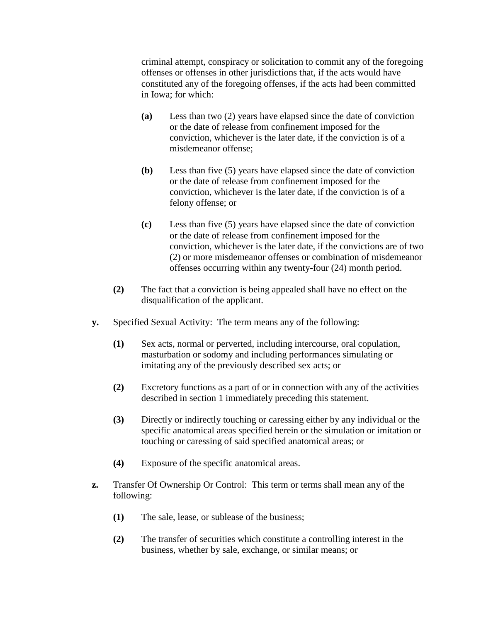criminal attempt, conspiracy or solicitation to commit any of the foregoing offenses or offenses in other jurisdictions that, if the acts would have constituted any of the foregoing offenses, if the acts had been committed in Iowa; for which:

- **(a)** Less than two (2) years have elapsed since the date of conviction or the date of release from confinement imposed for the conviction, whichever is the later date, if the conviction is of a misdemeanor offense;
- **(b)** Less than five (5) years have elapsed since the date of conviction or the date of release from confinement imposed for the conviction, whichever is the later date, if the conviction is of a felony offense; or
- **(c)** Less than five (5) years have elapsed since the date of conviction or the date of release from confinement imposed for the conviction, whichever is the later date, if the convictions are of two (2) or more misdemeanor offenses or combination of misdemeanor offenses occurring within any twenty-four (24) month period.
- **(2)** The fact that a conviction is being appealed shall have no effect on the disqualification of the applicant.
- **y.** Specified Sexual Activity: The term means any of the following:
	- **(1)** Sex acts, normal or perverted, including intercourse, oral copulation, masturbation or sodomy and including performances simulating or imitating any of the previously described sex acts; or
	- **(2)** Excretory functions as a part of or in connection with any of the activities described in section 1 immediately preceding this statement.
	- **(3)** Directly or indirectly touching or caressing either by any individual or the specific anatomical areas specified herein or the simulation or imitation or touching or caressing of said specified anatomical areas; or
	- **(4)** Exposure of the specific anatomical areas.
- **z.** Transfer Of Ownership Or Control: This term or terms shall mean any of the following:
	- **(1)** The sale, lease, or sublease of the business;
	- **(2)** The transfer of securities which constitute a controlling interest in the business, whether by sale, exchange, or similar means; or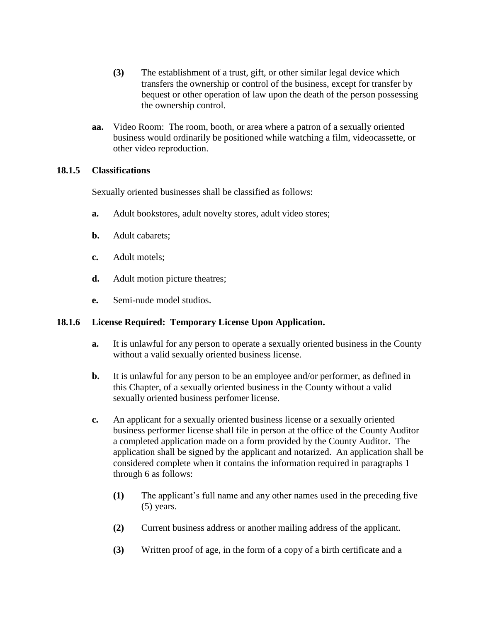- **(3)** The establishment of a trust, gift, or other similar legal device which transfers the ownership or control of the business, except for transfer by bequest or other operation of law upon the death of the person possessing the ownership control.
- **aa.** Video Room: The room, booth, or area where a patron of a sexually oriented business would ordinarily be positioned while watching a film, videocassette, or other video reproduction.

## **18.1.5 Classifications**

Sexually oriented businesses shall be classified as follows:

- **a.** Adult bookstores, adult novelty stores, adult video stores;
- **b.** Adult cabarets;
- **c.** Adult motels;
- **d.** Adult motion picture theatres;
- **e.** Semi-nude model studios.

## **18.1.6 License Required: Temporary License Upon Application.**

- **a.** It is unlawful for any person to operate a sexually oriented business in the County without a valid sexually oriented business license.
- **b.** It is unlawful for any person to be an employee and/or performer, as defined in this Chapter, of a sexually oriented business in the County without a valid sexually oriented business perfomer license.
- **c.** An applicant for a sexually oriented business license or a sexually oriented business performer license shall file in person at the office of the County Auditor a completed application made on a form provided by the County Auditor. The application shall be signed by the applicant and notarized. An application shall be considered complete when it contains the information required in paragraphs 1 through 6 as follows:
	- **(1)** The applicant's full name and any other names used in the preceding five (5) years.
	- **(2)** Current business address or another mailing address of the applicant.
	- **(3)** Written proof of age, in the form of a copy of a birth certificate and a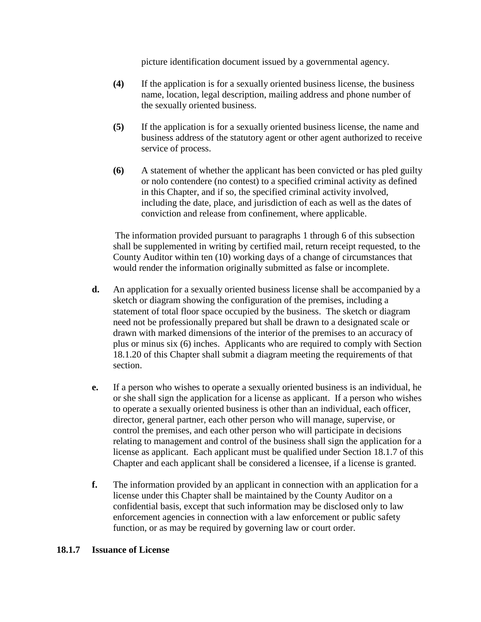picture identification document issued by a governmental agency.

- **(4)** If the application is for a sexually oriented business license, the business name, location, legal description, mailing address and phone number of the sexually oriented business.
- **(5)** If the application is for a sexually oriented business license, the name and business address of the statutory agent or other agent authorized to receive service of process.
- **(6)** A statement of whether the applicant has been convicted or has pled guilty or nolo contendere (no contest) to a specified criminal activity as defined in this Chapter, and if so, the specified criminal activity involved, including the date, place, and jurisdiction of each as well as the dates of conviction and release from confinement, where applicable.

The information provided pursuant to paragraphs 1 through 6 of this subsection shall be supplemented in writing by certified mail, return receipt requested, to the County Auditor within ten (10) working days of a change of circumstances that would render the information originally submitted as false or incomplete.

- **d.** An application for a sexually oriented business license shall be accompanied by a sketch or diagram showing the configuration of the premises, including a statement of total floor space occupied by the business. The sketch or diagram need not be professionally prepared but shall be drawn to a designated scale or drawn with marked dimensions of the interior of the premises to an accuracy of plus or minus six (6) inches. Applicants who are required to comply with Section 18.1.20 of this Chapter shall submit a diagram meeting the requirements of that section.
- **e.** If a person who wishes to operate a sexually oriented business is an individual, he or she shall sign the application for a license as applicant. If a person who wishes to operate a sexually oriented business is other than an individual, each officer, director, general partner, each other person who will manage, supervise, or control the premises, and each other person who will participate in decisions relating to management and control of the business shall sign the application for a license as applicant. Each applicant must be qualified under Section 18.1.7 of this Chapter and each applicant shall be considered a licensee, if a license is granted.
- **f.** The information provided by an applicant in connection with an application for a license under this Chapter shall be maintained by the County Auditor on a confidential basis, except that such information may be disclosed only to law enforcement agencies in connection with a law enforcement or public safety function, or as may be required by governing law or court order.

## **18.1.7 Issuance of License**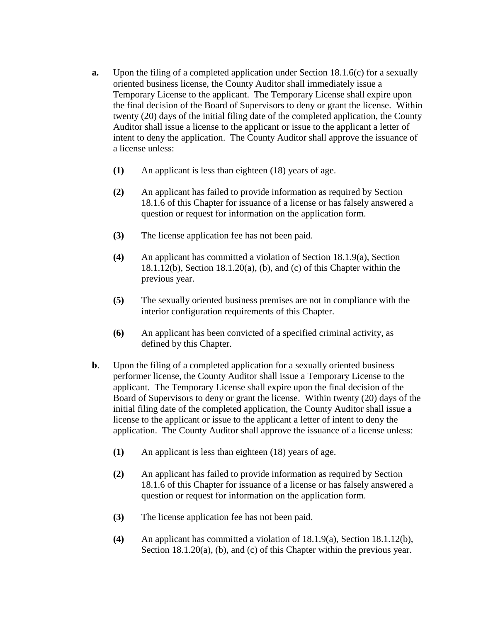- **a.** Upon the filing of a completed application under Section 18.1.6(c) for a sexually oriented business license, the County Auditor shall immediately issue a Temporary License to the applicant. The Temporary License shall expire upon the final decision of the Board of Supervisors to deny or grant the license. Within twenty (20) days of the initial filing date of the completed application, the County Auditor shall issue a license to the applicant or issue to the applicant a letter of intent to deny the application. The County Auditor shall approve the issuance of a license unless:
	- **(1)** An applicant is less than eighteen (18) years of age.
	- **(2)** An applicant has failed to provide information as required by Section 18.1.6 of this Chapter for issuance of a license or has falsely answered a question or request for information on the application form.
	- **(3)** The license application fee has not been paid.
	- **(4)** An applicant has committed a violation of Section 18.1.9(a), Section 18.1.12(b), Section 18.1.20(a), (b), and (c) of this Chapter within the previous year.
	- **(5)** The sexually oriented business premises are not in compliance with the interior configuration requirements of this Chapter.
	- **(6)** An applicant has been convicted of a specified criminal activity, as defined by this Chapter.
- **b.** Upon the filing of a completed application for a sexually oriented business performer license, the County Auditor shall issue a Temporary License to the applicant. The Temporary License shall expire upon the final decision of the Board of Supervisors to deny or grant the license. Within twenty (20) days of the initial filing date of the completed application, the County Auditor shall issue a license to the applicant or issue to the applicant a letter of intent to deny the application. The County Auditor shall approve the issuance of a license unless:
	- **(1)** An applicant is less than eighteen (18) years of age.
	- **(2)** An applicant has failed to provide information as required by Section 18.1.6 of this Chapter for issuance of a license or has falsely answered a question or request for information on the application form.
	- **(3)** The license application fee has not been paid.
	- **(4)** An applicant has committed a violation of 18.1.9(a), Section 18.1.12(b), Section 18.1.20(a), (b), and (c) of this Chapter within the previous year.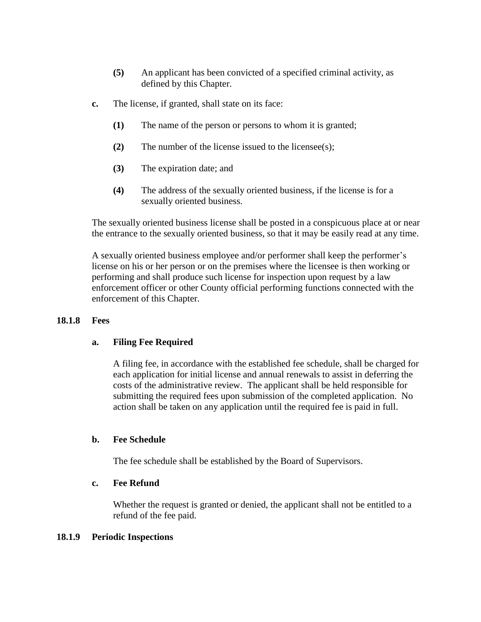- **(5)** An applicant has been convicted of a specified criminal activity, as defined by this Chapter.
- **c.** The license, if granted, shall state on its face:
	- **(1)** The name of the person or persons to whom it is granted;
	- **(2)** The number of the license issued to the licensee(s);
	- **(3)** The expiration date; and
	- **(4)** The address of the sexually oriented business, if the license is for a sexually oriented business.

The sexually oriented business license shall be posted in a conspicuous place at or near the entrance to the sexually oriented business, so that it may be easily read at any time.

A sexually oriented business employee and/or performer shall keep the performer's license on his or her person or on the premises where the licensee is then working or performing and shall produce such license for inspection upon request by a law enforcement officer or other County official performing functions connected with the enforcement of this Chapter.

## **18.1.8 Fees**

## **a. Filing Fee Required**

A filing fee, in accordance with the established fee schedule, shall be charged for each application for initial license and annual renewals to assist in deferring the costs of the administrative review. The applicant shall be held responsible for submitting the required fees upon submission of the completed application. No action shall be taken on any application until the required fee is paid in full.

## **b. Fee Schedule**

The fee schedule shall be established by the Board of Supervisors.

#### **c. Fee Refund**

Whether the request is granted or denied, the applicant shall not be entitled to a refund of the fee paid.

#### **18.1.9 Periodic Inspections**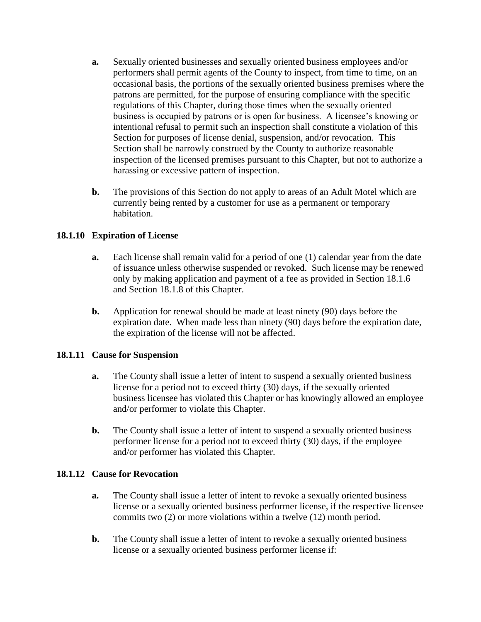- **a.** Sexually oriented businesses and sexually oriented business employees and/or performers shall permit agents of the County to inspect, from time to time, on an occasional basis, the portions of the sexually oriented business premises where the patrons are permitted, for the purpose of ensuring compliance with the specific regulations of this Chapter, during those times when the sexually oriented business is occupied by patrons or is open for business. A licensee's knowing or intentional refusal to permit such an inspection shall constitute a violation of this Section for purposes of license denial, suspension, and/or revocation. This Section shall be narrowly construed by the County to authorize reasonable inspection of the licensed premises pursuant to this Chapter, but not to authorize a harassing or excessive pattern of inspection.
- **b.** The provisions of this Section do not apply to areas of an Adult Motel which are currently being rented by a customer for use as a permanent or temporary habitation.

## **18.1.10 Expiration of License**

- **a.** Each license shall remain valid for a period of one (1) calendar year from the date of issuance unless otherwise suspended or revoked. Such license may be renewed only by making application and payment of a fee as provided in Section 18.1.6 and Section 18.1.8 of this Chapter.
- **b.** Application for renewal should be made at least ninety (90) days before the expiration date. When made less than ninety (90) days before the expiration date, the expiration of the license will not be affected.

## **18.1.11 Cause for Suspension**

- **a.** The County shall issue a letter of intent to suspend a sexually oriented business license for a period not to exceed thirty (30) days, if the sexually oriented business licensee has violated this Chapter or has knowingly allowed an employee and/or performer to violate this Chapter.
- **b.** The County shall issue a letter of intent to suspend a sexually oriented business performer license for a period not to exceed thirty (30) days, if the employee and/or performer has violated this Chapter.

## **18.1.12 Cause for Revocation**

- **a.** The County shall issue a letter of intent to revoke a sexually oriented business license or a sexually oriented business performer license, if the respective licensee commits two (2) or more violations within a twelve (12) month period.
- **b.** The County shall issue a letter of intent to revoke a sexually oriented business license or a sexually oriented business performer license if: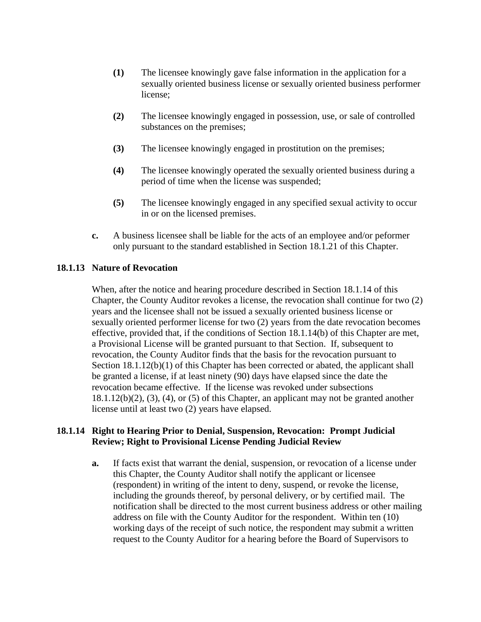- **(1)** The licensee knowingly gave false information in the application for a sexually oriented business license or sexually oriented business performer license;
- **(2)** The licensee knowingly engaged in possession, use, or sale of controlled substances on the premises;
- **(3)** The licensee knowingly engaged in prostitution on the premises;
- **(4)** The licensee knowingly operated the sexually oriented business during a period of time when the license was suspended;
- **(5)** The licensee knowingly engaged in any specified sexual activity to occur in or on the licensed premises.
- **c.** A business licensee shall be liable for the acts of an employee and/or peformer only pursuant to the standard established in Section 18.1.21 of this Chapter.

## **18.1.13 Nature of Revocation**

When, after the notice and hearing procedure described in Section 18.1.14 of this Chapter, the County Auditor revokes a license, the revocation shall continue for two (2) years and the licensee shall not be issued a sexually oriented business license or sexually oriented performer license for two (2) years from the date revocation becomes effective, provided that, if the conditions of Section 18.1.14(b) of this Chapter are met, a Provisional License will be granted pursuant to that Section. If, subsequent to revocation, the County Auditor finds that the basis for the revocation pursuant to Section 18.1.12(b)(1) of this Chapter has been corrected or abated, the applicant shall be granted a license, if at least ninety (90) days have elapsed since the date the revocation became effective. If the license was revoked under subsections  $18.1.12(b)(2)$ ,  $(3)$ ,  $(4)$ , or  $(5)$  of this Chapter, an applicant may not be granted another license until at least two (2) years have elapsed.

## **18.1.14 Right to Hearing Prior to Denial, Suspension, Revocation: Prompt Judicial Review; Right to Provisional License Pending Judicial Review**

**a.** If facts exist that warrant the denial, suspension, or revocation of a license under this Chapter, the County Auditor shall notify the applicant or licensee (respondent) in writing of the intent to deny, suspend, or revoke the license, including the grounds thereof, by personal delivery, or by certified mail. The notification shall be directed to the most current business address or other mailing address on file with the County Auditor for the respondent. Within ten (10) working days of the receipt of such notice, the respondent may submit a written request to the County Auditor for a hearing before the Board of Supervisors to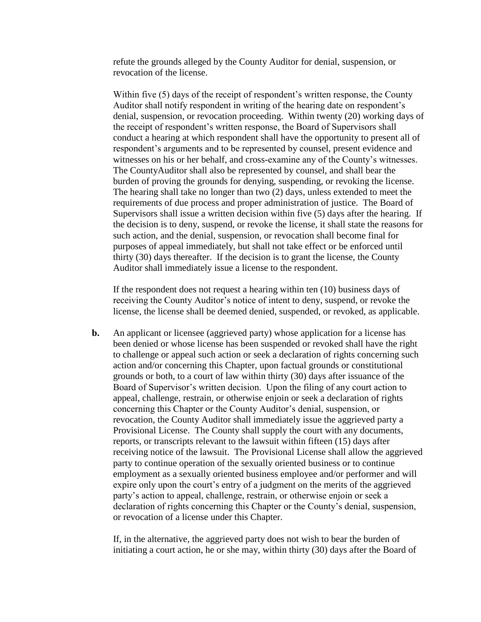refute the grounds alleged by the County Auditor for denial, suspension, or revocation of the license.

Within five (5) days of the receipt of respondent's written response, the County Auditor shall notify respondent in writing of the hearing date on respondent's denial, suspension, or revocation proceeding. Within twenty (20) working days of the receipt of respondent's written response, the Board of Supervisors shall conduct a hearing at which respondent shall have the opportunity to present all of respondent's arguments and to be represented by counsel, present evidence and witnesses on his or her behalf, and cross-examine any of the County's witnesses. The CountyAuditor shall also be represented by counsel, and shall bear the burden of proving the grounds for denying, suspending, or revoking the license. The hearing shall take no longer than two (2) days, unless extended to meet the requirements of due process and proper administration of justice. The Board of Supervisors shall issue a written decision within five (5) days after the hearing. If the decision is to deny, suspend, or revoke the license, it shall state the reasons for such action, and the denial, suspension, or revocation shall become final for purposes of appeal immediately, but shall not take effect or be enforced until thirty (30) days thereafter. If the decision is to grant the license, the County Auditor shall immediately issue a license to the respondent.

If the respondent does not request a hearing within ten (10) business days of receiving the County Auditor's notice of intent to deny, suspend, or revoke the license, the license shall be deemed denied, suspended, or revoked, as applicable.

**b.** An applicant or licensee (aggrieved party) whose application for a license has been denied or whose license has been suspended or revoked shall have the right to challenge or appeal such action or seek a declaration of rights concerning such action and/or concerning this Chapter, upon factual grounds or constitutional grounds or both, to a court of law within thirty (30) days after issuance of the Board of Supervisor's written decision. Upon the filing of any court action to appeal, challenge, restrain, or otherwise enjoin or seek a declaration of rights concerning this Chapter or the County Auditor's denial, suspension, or revocation, the County Auditor shall immediately issue the aggrieved party a Provisional License. The County shall supply the court with any documents, reports, or transcripts relevant to the lawsuit within fifteen (15) days after receiving notice of the lawsuit. The Provisional License shall allow the aggrieved party to continue operation of the sexually oriented business or to continue employment as a sexually oriented business employee and/or performer and will expire only upon the court's entry of a judgment on the merits of the aggrieved party's action to appeal, challenge, restrain, or otherwise enjoin or seek a declaration of rights concerning this Chapter or the County's denial, suspension, or revocation of a license under this Chapter.

If, in the alternative, the aggrieved party does not wish to bear the burden of initiating a court action, he or she may, within thirty (30) days after the Board of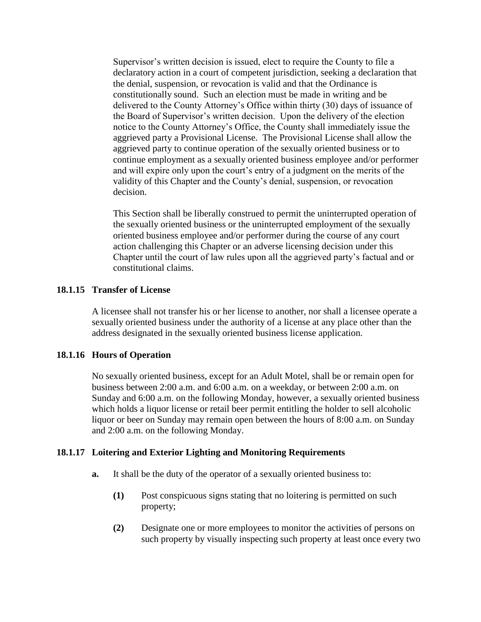Supervisor's written decision is issued, elect to require the County to file a declaratory action in a court of competent jurisdiction, seeking a declaration that the denial, suspension, or revocation is valid and that the Ordinance is constitutionally sound. Such an election must be made in writing and be delivered to the County Attorney's Office within thirty (30) days of issuance of the Board of Supervisor's written decision. Upon the delivery of the election notice to the County Attorney's Office, the County shall immediately issue the aggrieved party a Provisional License. The Provisional License shall allow the aggrieved party to continue operation of the sexually oriented business or to continue employment as a sexually oriented business employee and/or performer and will expire only upon the court's entry of a judgment on the merits of the validity of this Chapter and the County's denial, suspension, or revocation decision.

This Section shall be liberally construed to permit the uninterrupted operation of the sexually oriented business or the uninterrupted employment of the sexually oriented business employee and/or performer during the course of any court action challenging this Chapter or an adverse licensing decision under this Chapter until the court of law rules upon all the aggrieved party's factual and or constitutional claims.

## **18.1.15 Transfer of License**

A licensee shall not transfer his or her license to another, nor shall a licensee operate a sexually oriented business under the authority of a license at any place other than the address designated in the sexually oriented business license application.

## **18.1.16 Hours of Operation**

No sexually oriented business, except for an Adult Motel, shall be or remain open for business between 2:00 a.m. and 6:00 a.m. on a weekday, or between 2:00 a.m. on Sunday and 6:00 a.m. on the following Monday, however, a sexually oriented business which holds a liquor license or retail beer permit entitling the holder to sell alcoholic liquor or beer on Sunday may remain open between the hours of 8:00 a.m. on Sunday and 2:00 a.m. on the following Monday.

## **18.1.17 Loitering and Exterior Lighting and Monitoring Requirements**

- **a.** It shall be the duty of the operator of a sexually oriented business to:
	- **(1)** Post conspicuous signs stating that no loitering is permitted on such property;
	- **(2)** Designate one or more employees to monitor the activities of persons on such property by visually inspecting such property at least once every two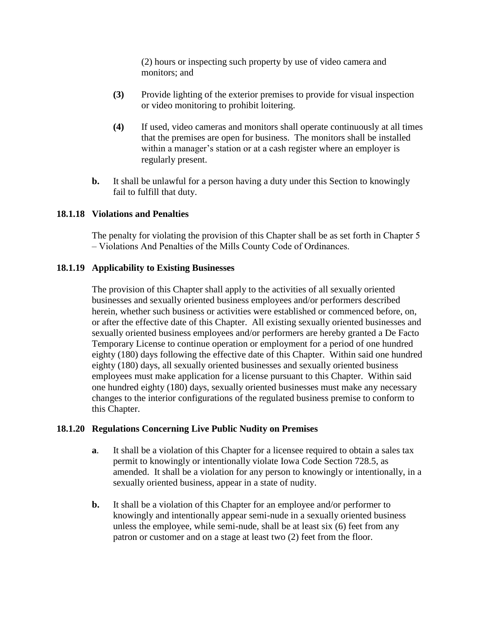(2) hours or inspecting such property by use of video camera and monitors; and

- **(3)** Provide lighting of the exterior premises to provide for visual inspection or video monitoring to prohibit loitering.
- **(4)** If used, video cameras and monitors shall operate continuously at all times that the premises are open for business. The monitors shall be installed within a manager's station or at a cash register where an employer is regularly present.
- **b.** It shall be unlawful for a person having a duty under this Section to knowingly fail to fulfill that duty.

## **18.1.18 Violations and Penalties**

The penalty for violating the provision of this Chapter shall be as set forth in Chapter 5 – Violations And Penalties of the Mills County Code of Ordinances.

## **18.1.19 Applicability to Existing Businesses**

The provision of this Chapter shall apply to the activities of all sexually oriented businesses and sexually oriented business employees and/or performers described herein, whether such business or activities were established or commenced before, on, or after the effective date of this Chapter. All existing sexually oriented businesses and sexually oriented business employees and/or performers are hereby granted a De Facto Temporary License to continue operation or employment for a period of one hundred eighty (180) days following the effective date of this Chapter. Within said one hundred eighty (180) days, all sexually oriented businesses and sexually oriented business employees must make application for a license pursuant to this Chapter. Within said one hundred eighty (180) days, sexually oriented businesses must make any necessary changes to the interior configurations of the regulated business premise to conform to this Chapter.

## **18.1.20 Regulations Concerning Live Public Nudity on Premises**

- **a**. It shall be a violation of this Chapter for a licensee required to obtain a sales tax permit to knowingly or intentionally violate Iowa Code Section 728.5, as amended. It shall be a violation for any person to knowingly or intentionally, in a sexually oriented business, appear in a state of nudity.
- **b.** It shall be a violation of this Chapter for an employee and/or performer to knowingly and intentionally appear semi-nude in a sexually oriented business unless the employee, while semi-nude, shall be at least six (6) feet from any patron or customer and on a stage at least two (2) feet from the floor.